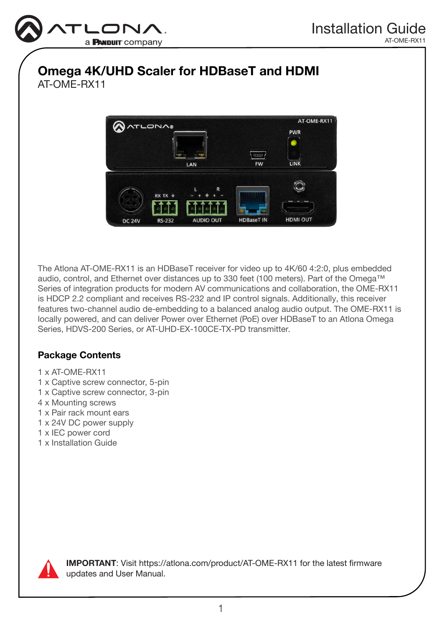

# Omega 4K/UHD Scaler for HDBaseT and HDMI AT-OME-RX11



The Atlona AT-OME-RX11 is an HDBaseT receiver for video up to 4K/60 4:2:0, plus embedded audio, control, and Ethernet over distances up to 330 feet (100 meters). Part of the Omega™ Series of integration products for modern AV communications and collaboration, the OME-RX11 is HDCP 2.2 compliant and receives RS-232 and IP control signals. Additionally, this receiver features two-channel audio de-embedding to a balanced analog audio output. The OME-RX11 is locally powered, and can deliver Power over Ethernet (PoE) over HDBaseT to an Atlona Omega Series, HDVS-200 Series, or AT-UHD-EX-100CE-TX-PD transmitter.

# Package Contents

- 1 x AT-OME-RX11
- 1 x Captive screw connector, 5-pin
- 1 x Captive screw connector, 3-pin
- 4 x Mounting screws
- 1 x Pair rack mount ears
- 1 x 24V DC power supply
- 1 x IEC power cord
- 1 x Installation Guide



IMPORTANT: Visit https://atlona.com/product/AT-OME-RX11 for the latest firmware updates and User Manual.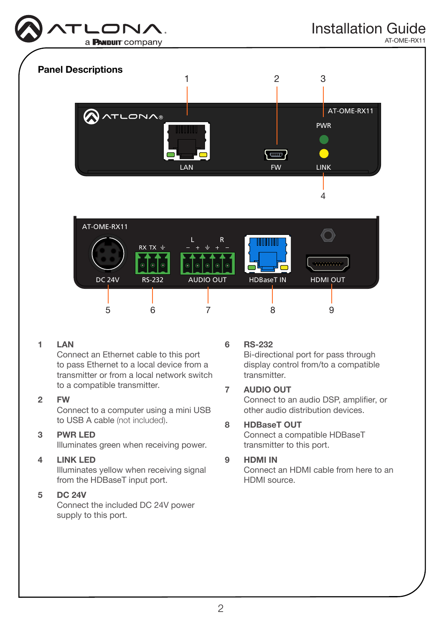

AT-OME-RX11



#### 1 LAN

Connect an Ethernet cable to this port to pass Ethernet to a local device from a transmitter or from a local network switch to a compatible transmitter.

#### 2 FW

Connect to a computer using a mini USB to USB A cable (not included).

### 3 PWR LED

Illuminates green when receiving power.

### 4 LINK LED

Illuminates yellow when receiving signal from the HDBaseT input port.

### 5 DC 24V

Connect the included DC 24V power supply to this port.

#### 6 RS-232

Bi-directional port for pass through display control from/to a compatible transmitter.

#### 7 AUDIO OUT

Connect to an audio DSP, amplifier, or other audio distribution devices.

# 8 HDBaseT OUT

Connect a compatible HDBaseT transmitter to this port.

#### 9 HDMI IN

Connect an HDMI cable from here to an HDMI source.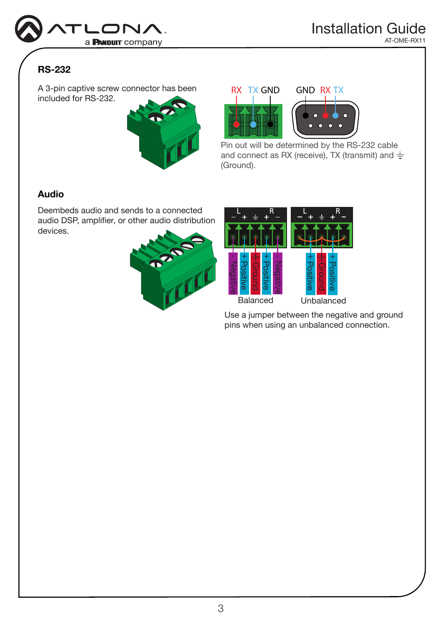

# RS-232

A 3-pin captive screw connector has been included for RS-232.







Pin out will be determined by the RS-232 cable and connect as RX (receive), TX (transmit) and  $\frac{1}{n}$ (Ground).

# Audio

Deembeds audio and sends to a connected audio DSP, amplifier, or other audio distribution devices.





Use a jumper between the negative and ground pins when using an unbalanced connection.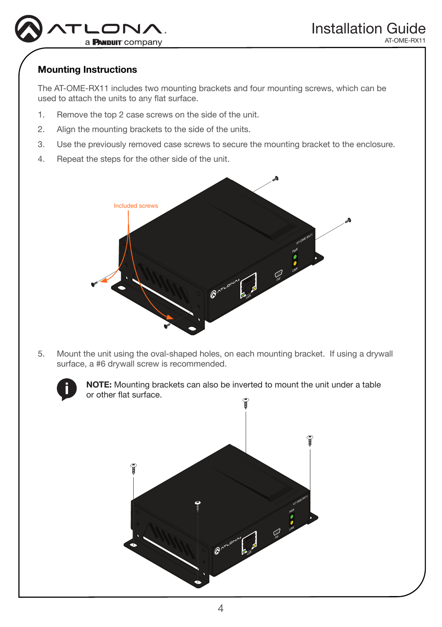

# Mounting Instructions

The AT-OME-RX11 includes two mounting brackets and four mounting screws, which can be used to attach the units to any flat surface.

- 1. Remove the top 2 case screws on the side of the unit.
- 2. Align the mounting brackets to the side of the units.
- 3. Use the previously removed case screws to secure the mounting bracket to the enclosure.
- 4. Repeat the steps for the other side of the unit.



5. Mount the unit using the oval-shaped holes, on each mounting bracket. If using a drywall surface, a #6 drywall screw is recommended.



NOTE: Mounting brackets can also be inverted to mount the unit under a table or other flat surface.

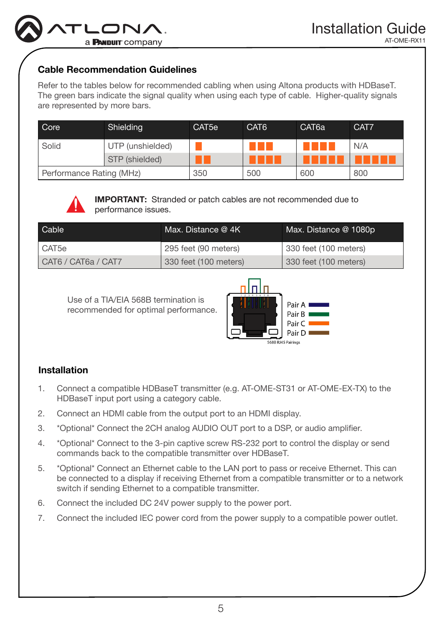

### Cable Recommendation Guidelines

Refer to the tables below for recommended cabling when using Altona products with HDBaseT. The green bars indicate the signal quality when using each type of cable. Higher-quality signals are represented by more bars.

| Core                     | Shielding        | CAT <sub>5e</sub> | CAT <sub>6</sub> | CAT <sub>6a</sub> | CAT7 |
|--------------------------|------------------|-------------------|------------------|-------------------|------|
| Solid                    | UTP (unshielded) |                   |                  |                   | N/A  |
|                          | STP (shielded)   |                   |                  |                   |      |
| Performance Rating (MHz) |                  | 350               | 500              | 600               | 800  |



IMPORTANT: Stranded or patch cables are not recommended due to performance issues.

| Cable <sup>'</sup>  | Max. Distance $@$ 4K  | Max. Distance @ 1080p |
|---------------------|-----------------------|-----------------------|
| CAT5e               | 295 feet (90 meters)  | 330 feet (100 meters) |
| CAT6 / CAT6a / CAT7 | 330 feet (100 meters) | 330 feet (100 meters) |

Use of a TIA/EIA 568B termination is recommended for optimal performance.



# Installation

- 1. Connect a compatible HDBaseT transmitter (e.g. AT-OME-ST31 or AT-OME-EX-TX) to the HDBaseT input port using a category cable.
- 2. Connect an HDMI cable from the output port to an HDMI display.
- 3. \*Optional\* Connect the 2CH analog AUDIO OUT port to a DSP, or audio amplifier.
- 4. \*Optional\* Connect to the 3-pin captive screw RS-232 port to control the display or send commands back to the compatible transmitter over HDBaseT.
- 5. \*Optional\* Connect an Ethernet cable to the LAN port to pass or receive Ethernet. This can be connected to a display if receiving Ethernet from a compatible transmitter or to a network switch if sending Ethernet to a compatible transmitter.
- 6. Connect the included DC 24V power supply to the power port.
- 7. Connect the included IEC power cord from the power supply to a compatible power outlet.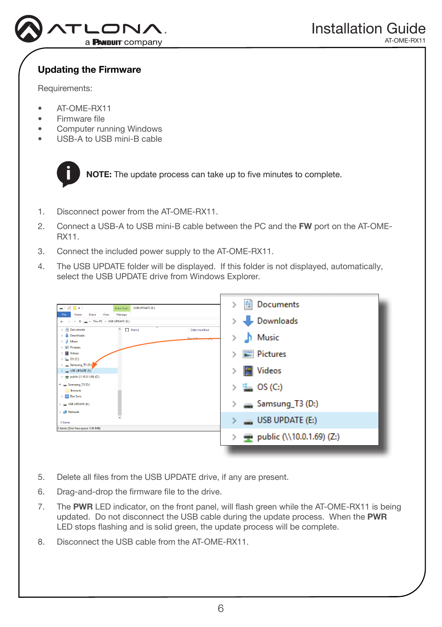

# Updating the Firmware

Requirements:

- AT-OME-RX11
- Firmware file
- Computer running Windows
- USB-A to USB mini-B cable



NOTE: The update process can take up to five minutes to complete.

- 1. Disconnect power from the AT-OME-RX11.
- 2. Connect a USB-A to USB mini-B cable between the PC and the FW port on the AT-OME-RX11.
- 3. Connect the included power supply to the AT-OME-RX11.
- 4. The USB UPDATE folder will be displayed. If this folder is not displayed, automatically, select the USB UPDATE drive from Windows Explorer.

| $\blacksquare \vdash \triangleright \blacksquare \triangleright \blacksquare$<br>USB UPDATE (E:)<br>Drive Tools                                    | Documents<br>>                                 |
|----------------------------------------------------------------------------------------------------------------------------------------------------|------------------------------------------------|
| Share<br>View<br>Manage<br>File<br>Home<br>$\implies$ This PC > USB UPDATE (E:)<br>$\uparrow$<br>$\leftarrow$<br>$\longrightarrow$<br>$\checkmark$ | Downloads                                      |
| $\angle$ $\triangle$ Documents<br>$\cap$ $\Box$ Name<br>Date modified<br>> Downloads<br>This folder is empty<br>$>$ $\Delta$ Music                 | Music                                          |
| $>$ $\equiv$ Pictures<br>$> 4$ Videos<br>$\rightarrow \frac{\alpha}{2}$ OS (C:)                                                                    | <b>Pictures</b>                                |
| > = Samsung_T3 (D:)<br>$\angle$ = USB UPDATE (E)<br>> = public (\\10.0.1.69) (Z:)                                                                  | <b>Videos</b>                                  |
| $\vee$ = Samsung_T3 (D:)<br>.boxsync                                                                                                               | $\frac{d\mathbf{r}}{d\mathbf{r}}$ OS (C:)<br>5 |
| <b>Box Sync</b><br>$\angle$ = USB UPDATE (E)<br>Network                                                                                            | Samsung_T3 (D:)<br>⋋                           |
| 0 items                                                                                                                                            | $\Box$ USB UPDATE (E:)                         |
| 0 items (Disk free space: 1.93 MB)                                                                                                                 | public (\\10.0.1.69) (Z:)<br>≻                 |
|                                                                                                                                                    |                                                |

- 5. Delete all files from the USB UPDATE drive, if any are present.
- 6. Drag-and-drop the firmware file to the drive.
- 7. The PWR LED indicator, on the front panel, will flash green while the AT-OME-RX11 is being updated. Do not disconnect the USB cable during the update process. When the PWR LED stops flashing and is solid green, the update process will be complete.
- 8. Disconnect the USB cable from the AT-OME-RX11.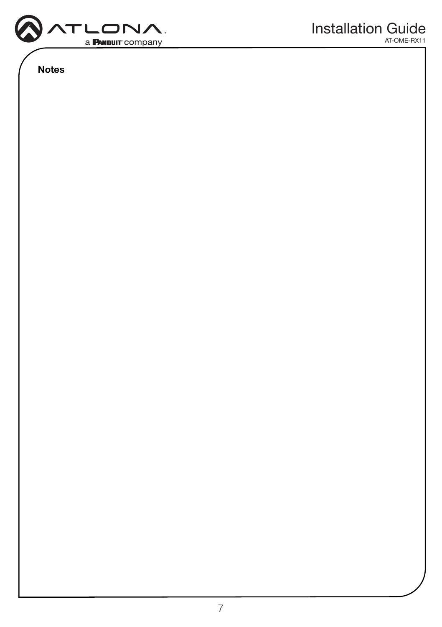

Notes